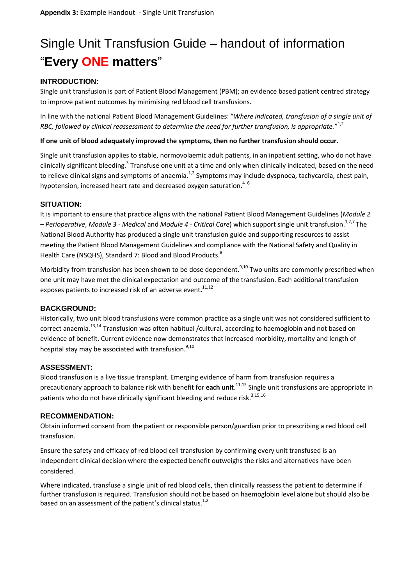# Single Unit Transfusion Guide – handout of information "**Every ONE matters**"

# **INTRODUCTION:**

Single unit transfusion is part of Patient Blood Management (PBM); an evidence based patient centred strategy to improve patient outcomes by minimising red blood cell transfusions.

In line with the national Patient Blood Management Guidelines: "*Where indicated, transfusion of a single unit of RBC, followed by clinical reassessment to determine the need for further transfusion, is appropriate.*" 1,2

### **If one unit of blood adequately improved the symptoms, then no further transfusion should occur.**

Single unit transfusion applies to stable, normovolaemic adult patients, in an inpatient setting, who do not have clinically significant bleeding.<sup>3</sup> Transfuse one unit at a time and only when clinically indicated, based on the need to relieve clinical signs and symptoms of anaemia.<sup>1,2</sup> Symptoms may include dyspnoea, tachycardia, chest pain, hypotension, increased heart rate and decreased oxygen saturation. $4-6$ 

## **SITUATION:**

It is important to ensure that practice aligns with the national Patient Blood Management Guidelines (*Module 2 – Perioperative*, *Module 3 - Medical* and *Module 4 - Critical Care*) which support single unit transfusion. 1,2,7 The National Blood Authority has produced a single unit transfusion guide and supporting resources to assist meeting the Patient Blood Management Guidelines and compliance with the National Safety and Quality in Health Care (NSQHS), Standard 7: Blood and Blood Products.<sup>8</sup>

Morbidity from transfusion has been shown to be dose dependent.<sup>9,10</sup> Two units are commonly prescribed when one unit may have met the clinical expectation and outcome of the transfusion. Each additional transfusion exposes patients to increased risk of an adverse event**.** 11,12

## **BACKGROUND:**

Historically, two unit blood transfusions were common practice as a single unit was not considered sufficient to correct anaemia.<sup>13,14</sup> Transfusion was often habitual /cultural, according to haemoglobin and not based on evidence of benefit. Current evidence now demonstrates that increased morbidity, mortality and length of hospital stay may be associated with transfusion.  $9,10$ 

#### **ASSESSMENT:**

Blood transfusion is a live tissue transplant. Emerging evidence of harm from transfusion requires a precautionary approach to balance risk with benefit for **each unit**.<sup>11,12</sup> Single unit transfusions are appropriate in patients who do not have clinically significant bleeding and reduce risk.<sup>3,15,16</sup>

#### **RECOMMENDATION:**

Obtain informed consent from the patient or responsible person/guardian prior to prescribing a red blood cell transfusion.

Ensure the safety and efficacy of red blood cell transfusion by confirming every unit transfused is an independent clinical decision where the expected benefit outweighs the risks and alternatives have been considered.

Where indicated, transfuse a single unit of red blood cells, then clinically reassess the patient to determine if further transfusion is required. Transfusion should not be based on haemoglobin level alone but should also be based on an assessment of the patient's clinical status.<sup>1,2</sup>